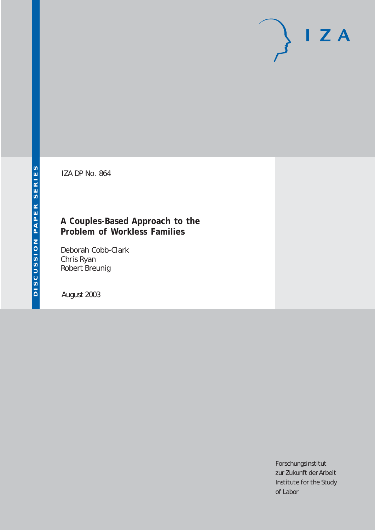# $I Z A$

IZA DP No. 864

# **A Couples-Based Approach to the Problem of Workless Families**

Deborah Cobb-Clark Chris Ryan Robert Breunig

August 2003

Forschungsinstitut zur Zukunft der Arbeit Institute for the Study of Labor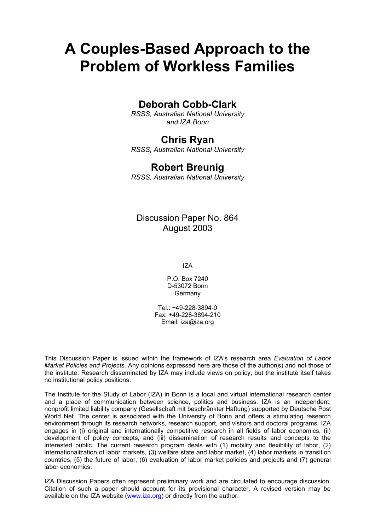# **A Couples-Based Approach to the Problem of Workless Families**

# **Deborah Cobb-Clark**

*RSSS, Australian National University and IZA Bonn*

# **Chris Ryan**

*RSSS, Australian National University* 

## **Robert Breunig**

*RSSS, Australian National University* 

# Discussion Paper No. 864 August 2003

IZA

P.O. Box 7240 D-53072 Bonn Germany

Tel.: +49-228-3894-0 Fax: +49-228-3894-210 Email: [iza@iza.org](mailto:iza@iza.org)

This Discussion Paper is issued within the framework of IZA's research area *Evaluation of Labor Market Policies and Projects.* Any opinions expressed here are those of the author(s) and not those of the institute. Research disseminated by IZA may include views on policy, but the institute itself takes no institutional policy positions.

The Institute for the Study of Labor (IZA) in Bonn is a local and virtual international research center and a place of communication between science, politics and business. IZA is an independent, nonprofit limited liability company (Gesellschaft mit beschränkter Haftung) supported by Deutsche Post World Net. The center is associated with the University of Bonn and offers a stimulating research environment through its research networks, research support, and visitors and doctoral programs. IZA engages in (i) original and internationally competitive research in all fields of labor economics, (ii) development of policy concepts, and (iii) dissemination of research results and concepts to the interested public. The current research program deals with (1) mobility and flexibility of labor, (2) internationalization of labor markets, (3) welfare state and labor market, (4) labor markets in transition countries, (5) the future of labor, (6) evaluation of labor market policies and projects and (7) general labor economics.

IZA Discussion Papers often represent preliminary work and are circulated to encourage discussion. Citation of such a paper should account for its provisional character. A revised version may be available on the IZA website ([www.iza.org](http://www.iza.org/)) or directly from the author.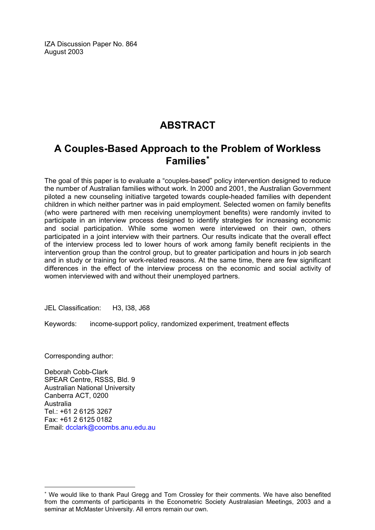IZA Discussion Paper No. 864 August 2003

# **ABSTRACT**

# **A Couples-Based Approach to the Problem of Workless Families**[∗](#page-2-0)

The goal of this paper is to evaluate a "couples-based" policy intervention designed to reduce the number of Australian families without work. In 2000 and 2001, the Australian Government piloted a new counseling initiative targeted towards couple-headed families with dependent children in which neither partner was in paid employment. Selected women on family benefits (who were partnered with men receiving unemployment benefits) were randomly invited to participate in an interview process designed to identify strategies for increasing economic and social participation. While some women were interviewed on their own, others participated in a joint interview with their partners. Our results indicate that the overall effect of the interview process led to lower hours of work among family benefit recipients in the intervention group than the control group, but to greater participation and hours in job search and in study or training for work-related reasons. At the same time, there are few significant differences in the effect of the interview process on the economic and social activity of women interviewed with and without their unemployed partners.

JEL Classification: H3, I38, J68

Keywords: income-support policy, randomized experiment, treatment effects

Corresponding author:

 $\overline{a}$ 

Deborah Cobb-Clark SPEAR Centre, RSSS, Bld. 9 Australian National University Canberra ACT, 0200 Australia  $Tel: +61 2 6125 3267$ Fax: +61 2 6125 0182 Email: [dcclark@coombs.anu.edu.au](mailto:dcclark@coombs.anu.edu.au)

<span id="page-2-0"></span><sup>∗</sup> We would like to thank Paul Gregg and Tom Crossley for their comments. We have also benefited from the comments of participants in the Econometric Society Australasian Meetings, 2003 and a seminar at McMaster University. All errors remain our own.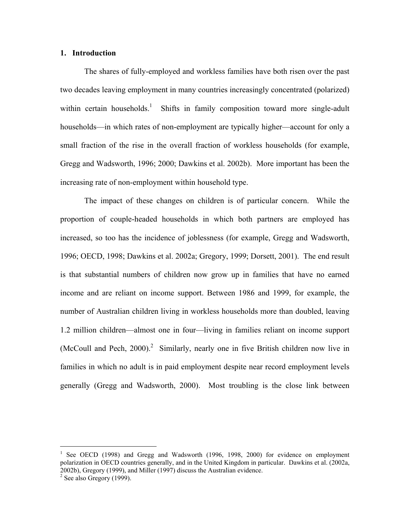#### **1. Introduction**

 The shares of fully-employed and workless families have both risen over the past two decades leaving employment in many countries increasingly concentrated (polarized) within certain households.<sup>[1](#page-3-0)</sup> Shifts in family composition toward more single-adult households—in which rates of non-employment are typically higher—account for only a small fraction of the rise in the overall fraction of workless households (for example, Gregg and Wadsworth, 1996; 2000; Dawkins et al. 2002b). More important has been the increasing rate of non-employment within household type.

The impact of these changes on children is of particular concern. While the proportion of couple-headed households in which both partners are employed has increased, so too has the incidence of joblessness (for example, Gregg and Wadsworth, 1996; OECD, 1998; Dawkins et al. 2002a; Gregory, 1999; Dorsett, 2001). The end result is that substantial numbers of children now grow up in families that have no earned income and are reliant on income support. Between 1986 and 1999, for example, the number of Australian children living in workless households more than doubled, leaving 1.2 million children—almost one in four—living in families reliant on income support (McCoull and Pech,  $2000$  $2000$ ).<sup>2</sup> Similarly, nearly one in five British children now live in families in which no adult is in paid employment despite near record employment levels generally (Gregg and Wadsworth, 2000). Most troubling is the close link between

 $\overline{\phantom{a}}$ 

<span id="page-3-0"></span><sup>&</sup>lt;sup>1</sup> See OECD (1998) and Gregg and Wadsworth (1996, 1998, 2000) for evidence on employment polarization in OECD countries generally, and in the United Kingdom in particular. Dawkins et al. (2002a, 2002b), Gregory (1999), and Miller (1997) discuss the Australian evidence.<br><sup>2</sup> See also Gregory (1999).

<span id="page-3-1"></span>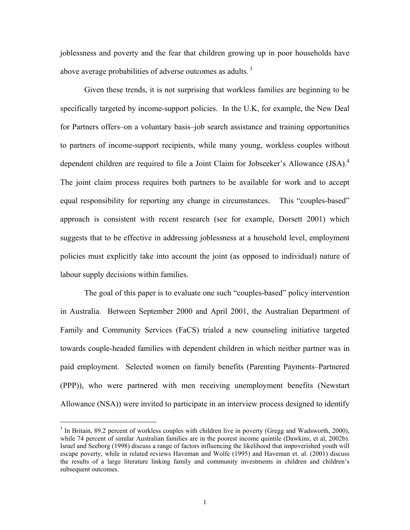joblessness and poverty and the fear that children growing up in poor households have above average probabilities of adverse outcomes as adults.<sup>3</sup>

Given these trends, it is not surprising that workless families are beginning to be specifically targeted by income-support policies. In the U.K, for example, the New Deal for Partners offers–on a voluntary basis–job search assistance and training opportunities to partners of income-support recipients, while many young, workless couples without dependent children are required to file a Joint Claim for Jobseeker's Allowance (JSA).<sup>4</sup> The joint claim process requires both partners to be available for work and to accept equal responsibility for reporting any change in circumstances. This "couples-based" approach is consistent with recent research (see for example, Dorsett 2001) which suggests that to be effective in addressing joblessness at a household level, employment policies must explicitly take into account the joint (as opposed to individual) nature of labour supply decisions within families.

The goal of this paper is to evaluate one such "couples-based" policy intervention in Australia. Between September 2000 and April 2001, the Australian Department of Family and Community Services (FaCS) trialed a new counseling initiative targeted towards couple-headed families with dependent children in which neither partner was in paid employment. Selected women on family benefits (Parenting Payments–Partnered (PPP)), who were partnered with men receiving unemployment benefits (Newstart Allowance (NSA)) were invited to participate in an interview process designed to identify

<span id="page-4-1"></span><span id="page-4-0"></span><sup>&</sup>lt;sup>2</sup><br>3  $3$  In Britain, 89.2 percent of workless couples with children live in poverty (Gregg and Wadsworth, 2000), while 74 percent of similar Australian families are in the poorest income quintile (Dawkins, et al, 2002b). Israel and Seeborg (1998) discuss a range of factors influencing the likelihood that impoverished youth will escape poverty, while in related reviews Haveman and Wolfe (1995) and Haveman et. al. (2001) discuss the results of a large literature linking family and community investments in children and children's subsequent outcomes.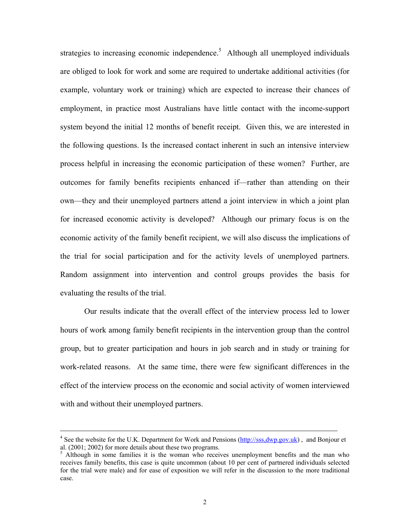strategies to increasing economic independence.<sup>[5](#page-5-0)</sup> Although all unemployed individuals are obliged to look for work and some are required to undertake additional activities (for example, voluntary work or training) which are expected to increase their chances of employment, in practice most Australians have little contact with the income-support system beyond the initial 12 months of benefit receipt. Given this, we are interested in the following questions. Is the increased contact inherent in such an intensive interview process helpful in increasing the economic participation of these women? Further, are outcomes for family benefits recipients enhanced if—rather than attending on their own—they and their unemployed partners attend a joint interview in which a joint plan for increased economic activity is developed? Although our primary focus is on the economic activity of the family benefit recipient, we will also discuss the implications of the trial for social participation and for the activity levels of unemployed partners. Random assignment into intervention and control groups provides the basis for evaluating the results of the trial.

Our results indicate that the overall effect of the interview process led to lower hours of work among family benefit recipients in the intervention group than the control group, but to greater participation and hours in job search and in study or training for work-related reasons. At the same time, there were few significant differences in the effect of the interview process on the economic and social activity of women interviewed with and without their unemployed partners.

 $\frac{1}{4}$ <sup>4</sup> See the website for the U.K. Department for Work and Pensions (http://sss.dwp.gov.uk), and Bonjour et al.  $(2001; 2002)$  for more details about these two programs.

<span id="page-5-0"></span> $<sup>5</sup>$  Although in some families it is the woman who receives unemployment benefits and the man who</sup> receives family benefits, this case is quite uncommon (about 10 per cent of partnered individuals selected for the trial were male) and for ease of exposition we will refer in the discussion to the more traditional case.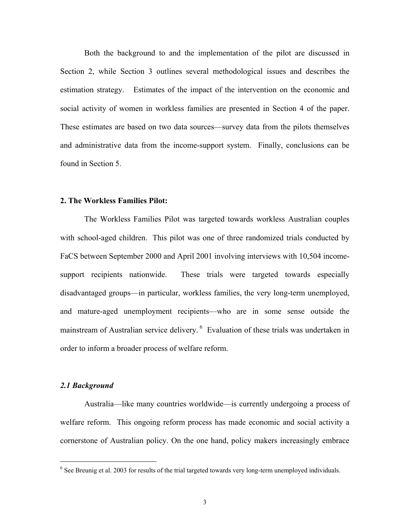Both the background to and the implementation of the pilot are discussed in Section 2, while Section 3 outlines several methodological issues and describes the estimation strategy. Estimates of the impact of the intervention on the economic and social activity of women in workless families are presented in Section 4 of the paper. These estimates are based on two data sources—survey data from the pilots themselves and administrative data from the income-support system. Finally, conclusions can be found in Section 5.

#### **2. The Workless Families Pilot:**

The Workless Families Pilot was targeted towards workless Australian couples with school-aged children. This pilot was one of three randomized trials conducted by FaCS between September 2000 and April 2001 involving interviews with 10,504 incomesupport recipients nationwide. These trials were targeted towards especially disadvantaged groups—in particular, workless families, the very long-term unemployed, and mature-aged unemployment recipients—who are in some sense outside the mainstream of Australian service delivery. <sup>6</sup> Evaluation of these trials was undertaken in order to inform a broader process of welfare reform.

#### *2.1 Background*

Australia—like many countries worldwide—is currently undergoing a process of welfare reform. This ongoing reform process has made economic and social activity a cornerstone of Australian policy. On the one hand, policy makers increasingly embrace

<span id="page-6-0"></span> $\frac{1}{6}$  $6$  See Breunig et al. 2003 for results of the trial targeted towards very long-term unemployed individuals.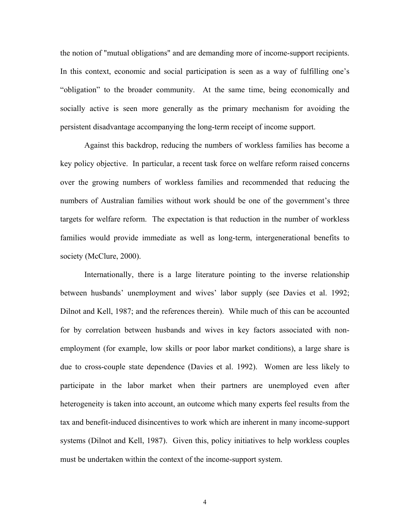the notion of "mutual obligations" and are demanding more of income-support recipients. In this context, economic and social participation is seen as a way of fulfilling one's "obligation" to the broader community. At the same time, being economically and socially active is seen more generally as the primary mechanism for avoiding the persistent disadvantage accompanying the long-term receipt of income support.

Against this backdrop, reducing the numbers of workless families has become a key policy objective. In particular, a recent task force on welfare reform raised concerns over the growing numbers of workless families and recommended that reducing the numbers of Australian families without work should be one of the government's three targets for welfare reform. The expectation is that reduction in the number of workless families would provide immediate as well as long-term, intergenerational benefits to society (McClure, 2000).

Internationally, there is a large literature pointing to the inverse relationship between husbands' unemployment and wives' labor supply (see Davies et al. 1992; Dilnot and Kell, 1987; and the references therein). While much of this can be accounted for by correlation between husbands and wives in key factors associated with nonemployment (for example, low skills or poor labor market conditions), a large share is due to cross-couple state dependence (Davies et al. 1992). Women are less likely to participate in the labor market when their partners are unemployed even after heterogeneity is taken into account, an outcome which many experts feel results from the tax and benefit-induced disincentives to work which are inherent in many income-support systems (Dilnot and Kell, 1987). Given this, policy initiatives to help workless couples must be undertaken within the context of the income-support system.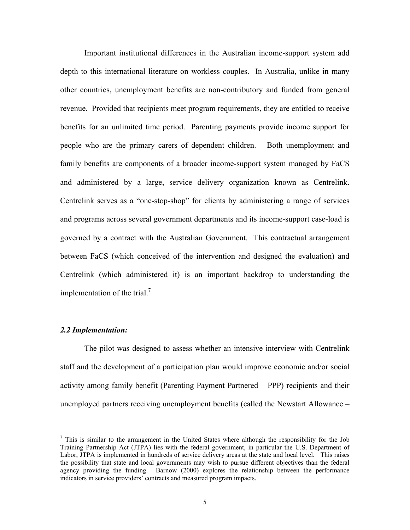Important institutional differences in the Australian income-support system add depth to this international literature on workless couples. In Australia, unlike in many other countries, unemployment benefits are non-contributory and funded from general revenue. Provided that recipients meet program requirements, they are entitled to receive benefits for an unlimited time period. Parenting payments provide income support for people who are the primary carers of dependent children. Both unemployment and family benefits are components of a broader income-support system managed by FaCS and administered by a large, service delivery organization known as Centrelink. Centrelink serves as a "one-stop-shop" for clients by administering a range of services and programs across several government departments and its income-support case-load is governed by a contract with the Australian Government. This contractual arrangement between FaCS (which conceived of the intervention and designed the evaluation) and Centrelink (which administered it) is an important backdrop to understanding the implementation of the trial.<sup>7</sup>

#### *2.2 Implementation:*

The pilot was designed to assess whether an intensive interview with Centrelink staff and the development of a participation plan would improve economic and/or social activity among family benefit (Parenting Payment Partnered – PPP) recipients and their unemployed partners receiving unemployment benefits (called the Newstart Allowance –

<span id="page-8-0"></span><sup>-&</sup>lt;br>7  $\frac{7}{1}$  This is similar to the arrangement in the United States where although the responsibility for the Job Training Partnership Act (JTPA) lies with the federal government, in particular the U.S. Department of Labor, JTPA is implemented in hundreds of service delivery areas at the state and local level. This raises the possibility that state and local governments may wish to pursue different objectives than the federal agency providing the funding. Barnow (2000) explores the relationship between the performance indicators in service providers' contracts and measured program impacts.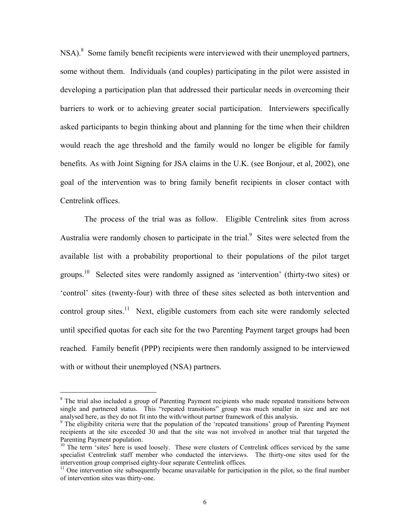NSA).<sup>[8](#page-9-0)</sup> Some family benefit recipients were interviewed with their unemployed partners, some without them. Individuals (and couples) participating in the pilot were assisted in developing a participation plan that addressed their particular needs in overcoming their barriers to work or to achieving greater social participation. Interviewers specifically asked participants to begin thinking about and planning for the time when their children would reach the age threshold and the family would no longer be eligible for family benefits. As with Joint Signing for JSA claims in the U.K. (see Bonjour, et al, 2002), one goal of the intervention was to bring family benefit recipients in closer contact with Centrelink offices.

The process of the trial was as follow. Eligible Centrelink sites from across Australia were randomly chosen to participate in the trial.<sup>[9](#page-9-1)</sup> Sites were selected from the available list with a probability proportional to their populations of the pilot target groups.[10](#page-9-2) Selected sites were randomly assigned as 'intervention' (thirty-two sites) or 'control' sites (twenty-four) with three of these sites selected as both intervention and control group sites.<sup>11</sup> Next, eligible customers from each site were randomly selected until specified quotas for each site for the two Parenting Payment target groups had been reached. Family benefit (PPP) recipients were then randomly assigned to be interviewed with or without their unemployed (NSA) partners.

<span id="page-9-0"></span> <sup>8</sup> <sup>8</sup> The trial also included a group of Parenting Payment recipients who made repeated transitions between single and partnered status. This "repeated transitions" group was much smaller in size and are not analysed here, as they do not fit into the with/without partner framework of this analysis. 9

<span id="page-9-1"></span><sup>&</sup>lt;sup>9</sup> The eligibility criteria were that the population of the 'repeated transitions' group of Parenting Payment recipients at the site exceeded 30 and that the site was not involved in another trial that targeted the Parenting Payment population.<br><sup>10</sup> The term 'sites' here is used loosely. These were clusters of Centrelink offices serviced by the same

<span id="page-9-2"></span>specialist Centrelink staff member who conducted the interviews. The thirty-one sites used for the intervention group comprised eighty-four separate Centrelink offices.

<span id="page-9-3"></span> $\frac{11}{11}$  One intervention site subsequently became unavailable for participation in the pilot, so the final number of intervention sites was thirty-one.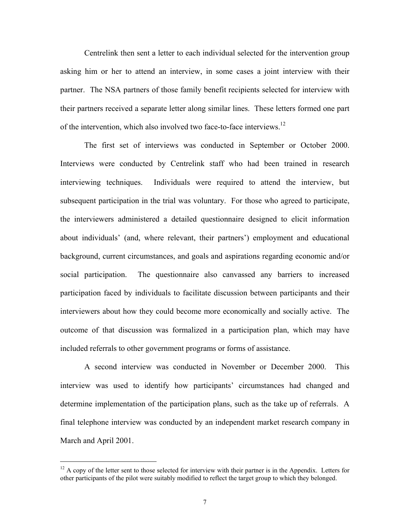Centrelink then sent a letter to each individual selected for the intervention group asking him or her to attend an interview, in some cases a joint interview with their partner. The NSA partners of those family benefit recipients selected for interview with their partners received a separate letter along similar lines. These letters formed one part of the intervention, which also involved two face-to-face interviews.[12](#page-10-0)

The first set of interviews was conducted in September or October 2000. Interviews were conducted by Centrelink staff who had been trained in research interviewing techniques. Individuals were required to attend the interview, but subsequent participation in the trial was voluntary. For those who agreed to participate, the interviewers administered a detailed questionnaire designed to elicit information about individuals' (and, where relevant, their partners') employment and educational background, current circumstances, and goals and aspirations regarding economic and/or social participation. The questionnaire also canvassed any barriers to increased participation faced by individuals to facilitate discussion between participants and their interviewers about how they could become more economically and socially active. The outcome of that discussion was formalized in a participation plan, which may have included referrals to other government programs or forms of assistance.

A second interview was conducted in November or December 2000. This interview was used to identify how participants' circumstances had changed and determine implementation of the participation plans, such as the take up of referrals. A final telephone interview was conducted by an independent market research company in March and April 2001.

<span id="page-10-0"></span><sup>&</sup>lt;sup>12</sup> A copy of the letter sent to those selected for interview with their partner is in the Appendix. Letters for other participants of the pilot were suitably modified to reflect the target group to which they belonged.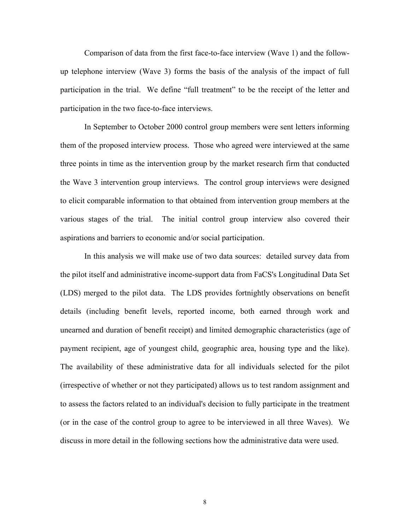Comparison of data from the first face-to-face interview (Wave 1) and the followup telephone interview (Wave 3) forms the basis of the analysis of the impact of full participation in the trial. We define "full treatment" to be the receipt of the letter and participation in the two face-to-face interviews.

In September to October 2000 control group members were sent letters informing them of the proposed interview process. Those who agreed were interviewed at the same three points in time as the intervention group by the market research firm that conducted the Wave 3 intervention group interviews. The control group interviews were designed to elicit comparable information to that obtained from intervention group members at the various stages of the trial. The initial control group interview also covered their aspirations and barriers to economic and/or social participation.

In this analysis we will make use of two data sources: detailed survey data from the pilot itself and administrative income-support data from FaCS's Longitudinal Data Set (LDS) merged to the pilot data. The LDS provides fortnightly observations on benefit details (including benefit levels, reported income, both earned through work and unearned and duration of benefit receipt) and limited demographic characteristics (age of payment recipient, age of youngest child, geographic area, housing type and the like). The availability of these administrative data for all individuals selected for the pilot (irrespective of whether or not they participated) allows us to test random assignment and to assess the factors related to an individual's decision to fully participate in the treatment (or in the case of the control group to agree to be interviewed in all three Waves). We discuss in more detail in the following sections how the administrative data were used.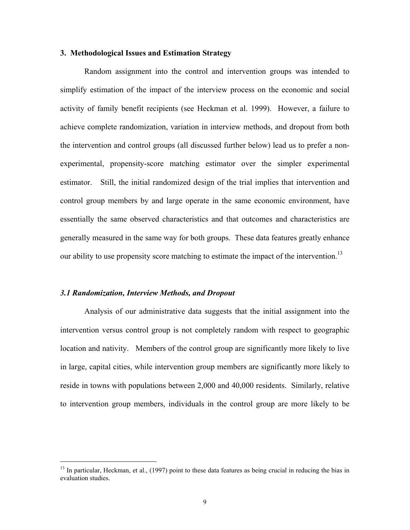#### **3. Methodological Issues and Estimation Strategy**

Random assignment into the control and intervention groups was intended to simplify estimation of the impact of the interview process on the economic and social activity of family benefit recipients (see Heckman et al. 1999). However, a failure to achieve complete randomization, variation in interview methods, and dropout from both the intervention and control groups (all discussed further below) lead us to prefer a nonexperimental, propensity-score matching estimator over the simpler experimental estimator. Still, the initial randomized design of the trial implies that intervention and control group members by and large operate in the same economic environment, have essentially the same observed characteristics and that outcomes and characteristics are generally measured in the same way for both groups. These data features greatly enhance our ability to use propensity score matching to estimate the impact of the intervention.<sup>13</sup>

#### *3.1 Randomization, Interview Methods, and Dropout*

Analysis of our administrative data suggests that the initial assignment into the intervention versus control group is not completely random with respect to geographic location and nativity. Members of the control group are significantly more likely to live in large, capital cities, while intervention group members are significantly more likely to reside in towns with populations between 2,000 and 40,000 residents. Similarly, relative to intervention group members, individuals in the control group are more likely to be

<span id="page-12-0"></span><sup>&</sup>lt;sup>13</sup> In particular, Heckman, et al., (1997) point to these data features as being crucial in reducing the bias in evaluation studies.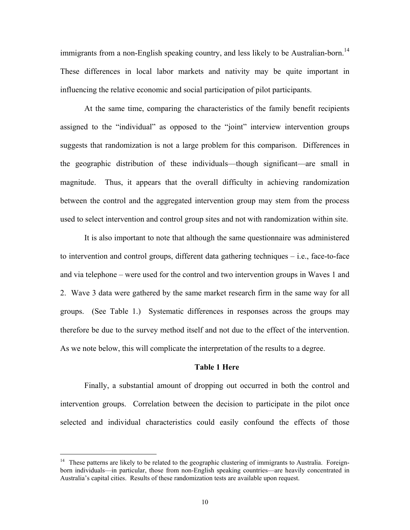immigrants from a non-English speaking country, and less likely to be Australian-born.<sup>14</sup> These differences in local labor markets and nativity may be quite important in influencing the relative economic and social participation of pilot participants.

At the same time, comparing the characteristics of the family benefit recipients assigned to the "individual" as opposed to the "joint" interview intervention groups suggests that randomization is not a large problem for this comparison. Differences in the geographic distribution of these individuals—though significant—are small in magnitude. Thus, it appears that the overall difficulty in achieving randomization between the control and the aggregated intervention group may stem from the process used to select intervention and control group sites and not with randomization within site.

It is also important to note that although the same questionnaire was administered to intervention and control groups, different data gathering techniques – i.e., face-to-face and via telephone – were used for the control and two intervention groups in Waves 1 and 2. Wave 3 data were gathered by the same market research firm in the same way for all groups. (See Table 1.) Systematic differences in responses across the groups may therefore be due to the survey method itself and not due to the effect of the intervention. As we note below, this will complicate the interpretation of the results to a degree.

#### **Table 1 Here**

Finally, a substantial amount of dropping out occurred in both the control and intervention groups. Correlation between the decision to participate in the pilot once selected and individual characteristics could easily confound the effects of those

<span id="page-13-0"></span><sup>&</sup>lt;sup>14</sup> These patterns are likely to be related to the geographic clustering of immigrants to Australia. Foreignborn individuals—in particular, those from non-English speaking countries—are heavily concentrated in Australia's capital cities. Results of these randomization tests are available upon request.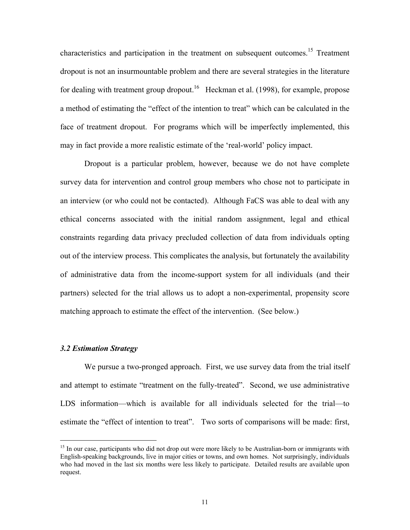characteristics and participation in the treatment on subsequent outcomes.<sup>15</sup> Treatment dropout is not an insurmountable problem and there are several strategies in the literature for dealing with treatment group dropout.<sup>16</sup> Heckman et al. (1998), for example, propose a method of estimating the "effect of the intention to treat" which can be calculated in the face of treatment dropout. For programs which will be imperfectly implemented, this may in fact provide a more realistic estimate of the 'real-world' policy impact.

Dropout is a particular problem, however, because we do not have complete survey data for intervention and control group members who chose not to participate in an interview (or who could not be contacted). Although FaCS was able to deal with any ethical concerns associated with the initial random assignment, legal and ethical constraints regarding data privacy precluded collection of data from individuals opting out of the interview process. This complicates the analysis, but fortunately the availability of administrative data from the income-support system for all individuals (and their partners) selected for the trial allows us to adopt a non-experimental, propensity score matching approach to estimate the effect of the intervention. (See below.)

#### *3.2 Estimation Strategy*

We pursue a two-pronged approach. First, we use survey data from the trial itself and attempt to estimate "treatment on the fully-treated". Second, we use administrative LDS information—which is available for all individuals selected for the trial—to estimate the "effect of intention to treat". Two sorts of comparisons will be made: first,

<span id="page-14-1"></span><span id="page-14-0"></span><sup>&</sup>lt;sup>15</sup> In our case, participants who did not drop out were more likely to be Australian-born or immigrants with English-speaking backgrounds, live in major cities or towns, and own homes. Not surprisingly, individuals who had moved in the last six months were less likely to participate. Detailed results are available upon request.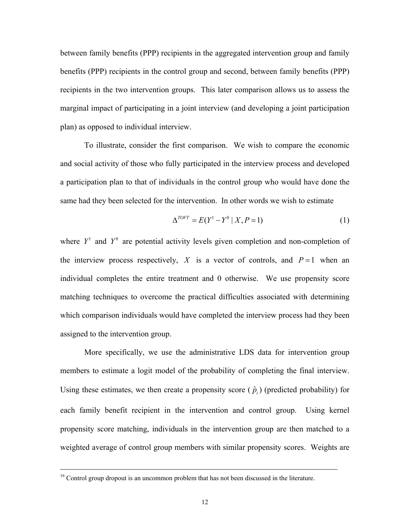between family benefits (PPP) recipients in the aggregated intervention group and family benefits (PPP) recipients in the control group and second, between family benefits (PPP) recipients in the two intervention groups. This later comparison allows us to assess the marginal impact of participating in a joint interview (and developing a joint participation plan) as opposed to individual interview.

To illustrate, consider the first comparison. We wish to compare the economic and social activity of those who fully participated in the interview process and developed a participation plan to that of individuals in the control group who would have done the same had they been selected for the intervention. In other words we wish to estimate

$$
\Delta^{TOFT} = E(Y^1 - Y^0 \mid X, P = 1) \tag{1}
$$

where  $Y^1$  and  $Y^0$  are potential activity levels given completion and non-completion of the interview process respectively, X is a vector of controls, and  $P=1$  when an individual completes the entire treatment and 0 otherwise. We use propensity score matching techniques to overcome the practical difficulties associated with determining which comparison individuals would have completed the interview process had they been assigned to the intervention group.

More specifically, we use the administrative LDS data for intervention group members to estimate a logit model of the probability of completing the final interview. Using these estimates, we then create a propensity score  $(\hat{p}_i)$  (predicted probability) for each family benefit recipient in the intervention and control group. Using kernel propensity score matching, individuals in the intervention group are then matched to a weighted average of control group members with similar propensity scores. Weights are

<sup>&</sup>lt;sup>16</sup> Control group dropout is an uncommon problem that has not been discussed in the literature.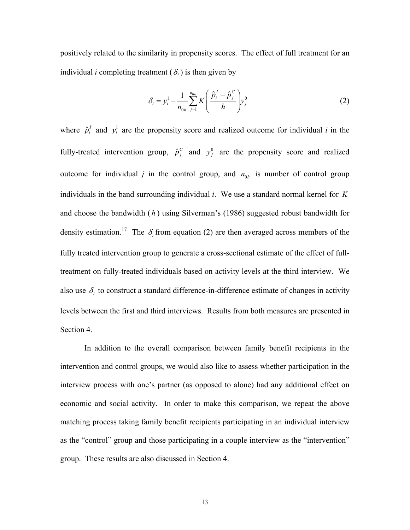positively related to the similarity in propensity scores. The effect of full treatment for an individual *i* completing treatment  $(\delta_i)$  is then given by

$$
\delta_i = y_i^1 - \frac{1}{n_{0h}} \sum_{j=1}^{n_{0h}} K \left( \frac{\hat{p}_i^I - \hat{p}_j^C}{h} \right) y_j^0
$$
 (2)

fully-treated intervention group,  $\hat{p}_j^c$  and  $y_j^0$  are the propensity score and realized where  $\hat{p}_i^I$  and  $y_i^I$  are the propensity score and realized outcome for individual *i* in the outcome for individual *j* in the control group, and  $n_{0h}$  is number of control group individuals in the band surrounding individual *i*. We use a standard normal kernel for *K* and choose the bandwidth  $(h)$  using Silverman's (1986) suggested robust bandwidth for density estimation.<sup>17</sup> The  $\delta_i$  from equation (2) are then averaged across members of the fully treated intervention group to generate a cross-sectional estimate of the effect of fulltreatment on fully-treated individuals based on activity levels at the third interview. We also use  $\delta_i$  to construct a standard difference-in-difference estimate of changes in activity levels between the first and third interviews. Results from both measures are presented in Section 4.

<span id="page-16-0"></span>In addition to the overall comparison between family benefit recipients in the intervention and control groups, we would also like to assess whether participation in the interview process with one's partner (as opposed to alone) had any additional effect on economic and social activity. In order to make this comparison, we repeat the above matching process taking family benefit recipients participating in an individual interview as the "control" group and those participating in a couple interview as the "intervention" group. These results are also discussed in Section 4.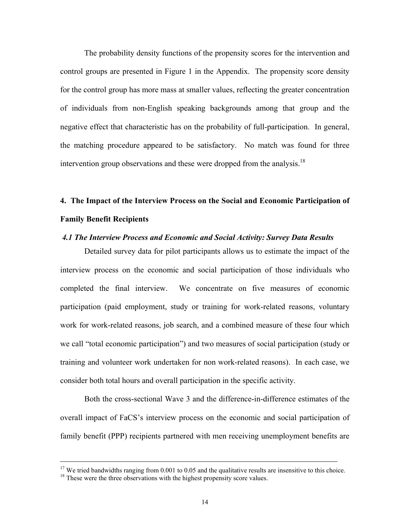The probability density functions of the propensity scores for the intervention and control groups are presented in Figure 1 in the Appendix. The propensity score density for the control group has more mass at smaller values, reflecting the greater concentration of individuals from non-English speaking backgrounds among that group and the negative effect that characteristic has on the probability of full-participation. In general, the matching procedure appeared to be satisfactory. No match was found for three intervention group observations and these were dropped from the analysis.<sup>18</sup>

# **4. The Impact of the Interview Process on the Social and Economic Participation of Family Benefit Recipients**

#### *4.1 The Interview Process and Economic and Social Activity: Survey Data Results*

Detailed survey data for pilot participants allows us to estimate the impact of the interview process on the economic and social participation of those individuals who completed the final interview. We concentrate on five measures of economic participation (paid employment, study or training for work-related reasons, voluntary work for work-related reasons, job search, and a combined measure of these four which we call "total economic participation") and two measures of social participation (study or training and volunteer work undertaken for non work-related reasons). In each case, we consider both total hours and overall participation in the specific activity.

Both the cross-sectional Wave 3 and the difference-in-difference estimates of the overall impact of FaCS's interview process on the economic and social participation of family benefit (PPP) recipients partnered with men receiving unemployment benefits are

<sup>&</sup>lt;sup>17</sup> We tried bandwidths ranging from 0.001 to 0.05 and the qualitative results are insensitive to this choice. <sup>18</sup> These were the three observations with the highest propensity score values.

<span id="page-17-0"></span>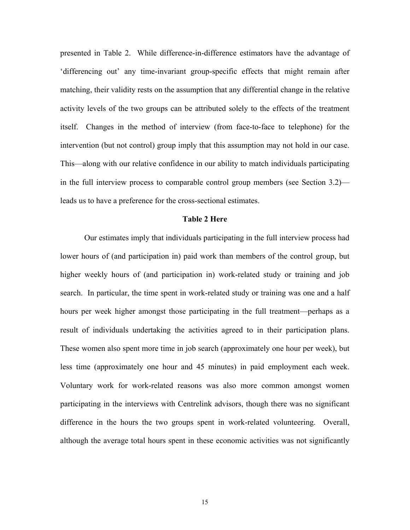presented in Table 2. While difference-in-difference estimators have the advantage of 'differencing out' any time-invariant group-specific effects that might remain after matching, their validity rests on the assumption that any differential change in the relative activity levels of the two groups can be attributed solely to the effects of the treatment itself. Changes in the method of interview (from face-to-face to telephone) for the intervention (but not control) group imply that this assumption may not hold in our case. This—along with our relative confidence in our ability to match individuals participating in the full interview process to comparable control group members (see Section 3.2) leads us to have a preference for the cross-sectional estimates.

#### **Table 2 Here**

Our estimates imply that individuals participating in the full interview process had lower hours of (and participation in) paid work than members of the control group, but higher weekly hours of (and participation in) work-related study or training and job search. In particular, the time spent in work-related study or training was one and a half hours per week higher amongst those participating in the full treatment—perhaps as a result of individuals undertaking the activities agreed to in their participation plans. These women also spent more time in job search (approximately one hour per week), but less time (approximately one hour and 45 minutes) in paid employment each week. Voluntary work for work-related reasons was also more common amongst women participating in the interviews with Centrelink advisors, though there was no significant difference in the hours the two groups spent in work-related volunteering. Overall, although the average total hours spent in these economic activities was not significantly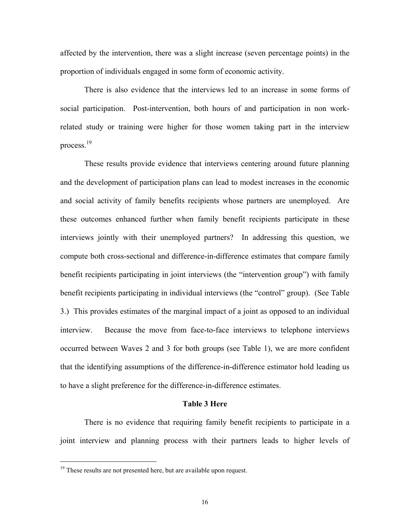affected by the intervention, there was a slight increase (seven percentage points) in the proportion of individuals engaged in some form of economic activity.

There is also evidence that the interviews led to an increase in some forms of social participation. Post-intervention, both hours of and participation in non workrelated study or training were higher for those women taking part in the interview process[.19](#page-19-0) 

These results provide evidence that interviews centering around future planning and the development of participation plans can lead to modest increases in the economic and social activity of family benefits recipients whose partners are unemployed. Are these outcomes enhanced further when family benefit recipients participate in these interviews jointly with their unemployed partners? In addressing this question, we compute both cross-sectional and difference-in-difference estimates that compare family benefit recipients participating in joint interviews (the "intervention group") with family benefit recipients participating in individual interviews (the "control" group). (See Table 3.) This provides estimates of the marginal impact of a joint as opposed to an individual interview. Because the move from face-to-face interviews to telephone interviews occurred between Waves 2 and 3 for both groups (see Table 1), we are more confident that the identifying assumptions of the difference-in-difference estimator hold leading us to have a slight preference for the difference-in-difference estimates.

#### **Table 3 Here**

There is no evidence that requiring family benefit recipients to participate in a joint interview and planning process with their partners leads to higher levels of

<span id="page-19-0"></span><sup>&</sup>lt;sup>19</sup> These results are not presented here, but are available upon request.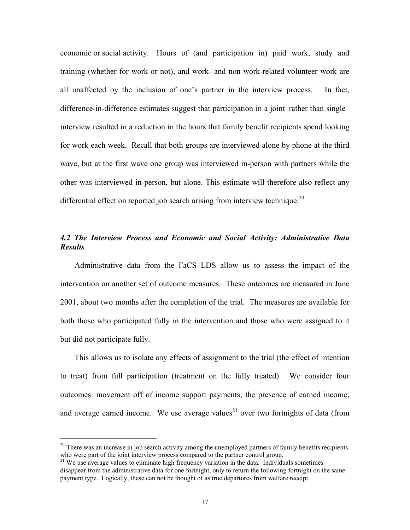economic or social activity. Hours of (and participation in) paid work, study and training (whether for work or not), and work- and non work-related volunteer work are all unaffected by the inclusion of one's partner in the interview process. In fact, difference-in-difference estimates suggest that participation in a joint–rather than single– interview resulted in a reduction in the hours that family benefit recipients spend looking for work each week. Recall that both groups are interviewed alone by phone at the third wave, but at the first wave one group was interviewed in-person with partners while the other was interviewed in-person, but alone. This estimate will therefore also reflect any differential effect on reported job search arising from interview technique.<sup>[20](#page-20-0)</sup>

#### *4.2 The Interview Process and Economic and Social Activity: Administrative Data Results*

Administrative data from the FaCS LDS allow us to assess the impact of the intervention on another set of outcome measures. These outcomes are measured in June 2001, about two months after the completion of the trial. The measures are available for both those who participated fully in the intervention and those who were assigned to it but did not participate fully.

This allows us to isolate any effects of assignment to the trial (the effect of intention to treat) from full participation (treatment on the fully treated). We consider four outcomes: movement off of income support payments; the presence of earned income; and average earned income. We use average values<sup>21</sup> over two fortnights of data (from

<span id="page-20-0"></span> $20$  There was an increase in job search activity among the unemployed partners of family benefits recipients who were part of the joint interview process compared to the partner control group.

<span id="page-20-1"></span> $^{21}$  We use average values to eliminate high frequency variation in the data. Individuals sometimes disappear from the administrative data for one fortnight, only to return the following fortnight on the same payment type. Logically, these can not be thought of as true departures from welfare receipt.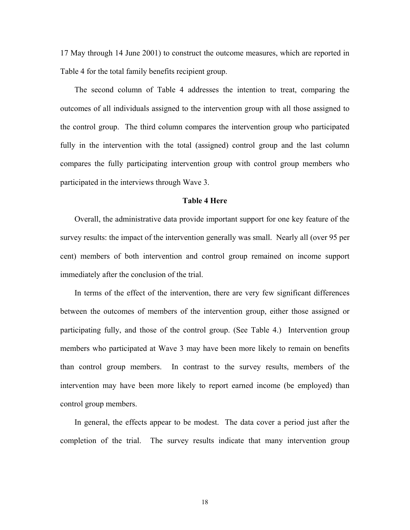17 May through 14 June 2001) to construct the outcome measures, which are reported in Table 4 for the total family benefits recipient group.

The second column of Table 4 addresses the intention to treat, comparing the outcomes of all individuals assigned to the intervention group with all those assigned to the control group. The third column compares the intervention group who participated fully in the intervention with the total (assigned) control group and the last column compares the fully participating intervention group with control group members who participated in the interviews through Wave 3.

#### **Table 4 Here**

Overall, the administrative data provide important support for one key feature of the survey results: the impact of the intervention generally was small. Nearly all (over 95 per cent) members of both intervention and control group remained on income support immediately after the conclusion of the trial.

In terms of the effect of the intervention, there are very few significant differences between the outcomes of members of the intervention group, either those assigned or participating fully, and those of the control group. (See Table 4.) Intervention group members who participated at Wave 3 may have been more likely to remain on benefits than control group members. In contrast to the survey results, members of the intervention may have been more likely to report earned income (be employed) than control group members.

In general, the effects appear to be modest. The data cover a period just after the completion of the trial. The survey results indicate that many intervention group

18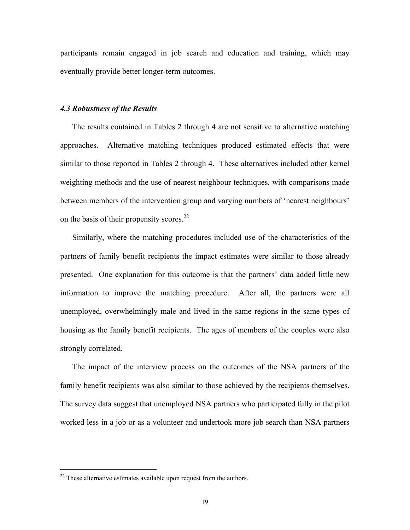participants remain engaged in job search and education and training, which may eventually provide better longer-term outcomes.

#### *4.3 Robustness of the Results*

The results contained in Tables 2 through 4 are not sensitive to alternative matching approaches. Alternative matching techniques produced estimated effects that were similar to those reported in Tables 2 through 4. These alternatives included other kernel weighting methods and the use of nearest neighbour techniques, with comparisons made between members of the intervention group and varying numbers of 'nearest neighbours' on the basis of their propensity scores. $22$ 

Similarly, where the matching procedures included use of the characteristics of the partners of family benefit recipients the impact estimates were similar to those already presented. One explanation for this outcome is that the partners' data added little new information to improve the matching procedure. After all, the partners were all unemployed, overwhelmingly male and lived in the same regions in the same types of housing as the family benefit recipients. The ages of members of the couples were also strongly correlated.

The impact of the interview process on the outcomes of the NSA partners of the family benefit recipients was also similar to those achieved by the recipients themselves. The survey data suggest that unemployed NSA partners who participated fully in the pilot worked less in a job or as a volunteer and undertook more job search than NSA partners

<span id="page-22-0"></span> $22$  These alternative estimates available upon request from the authors.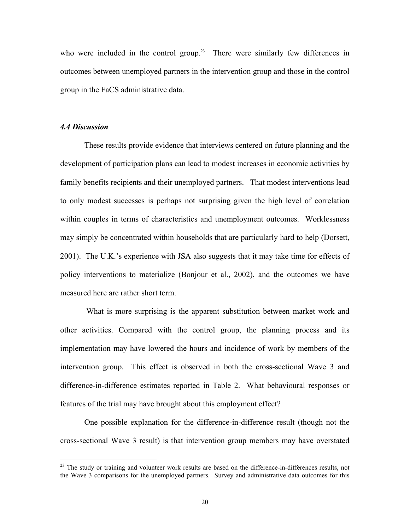who were included in the control group.<sup>23</sup> There were similarly few differences in outcomes between unemployed partners in the intervention group and those in the control group in the FaCS administrative data.

#### *4.4 Discussion*

These results provide evidence that interviews centered on future planning and the development of participation plans can lead to modest increases in economic activities by family benefits recipients and their unemployed partners. That modest interventions lead to only modest successes is perhaps not surprising given the high level of correlation within couples in terms of characteristics and unemployment outcomes. Worklessness may simply be concentrated within households that are particularly hard to help (Dorsett, 2001). The U.K.'s experience with JSA also suggests that it may take time for effects of policy interventions to materialize (Bonjour et al., 2002), and the outcomes we have measured here are rather short term.

What is more surprising is the apparent substitution between market work and other activities. Compared with the control group, the planning process and its implementation may have lowered the hours and incidence of work by members of the intervention group. This effect is observed in both the cross-sectional Wave 3 and difference-in-difference estimates reported in Table 2. What behavioural responses or features of the trial may have brought about this employment effect?

One possible explanation for the difference-in-difference result (though not the cross-sectional Wave 3 result) is that intervention group members may have overstated

<span id="page-23-0"></span><sup>&</sup>lt;sup>23</sup> The study or training and volunteer work results are based on the difference-in-differences results, not the Wave 3 comparisons for the unemployed partners. Survey and administrative data outcomes for this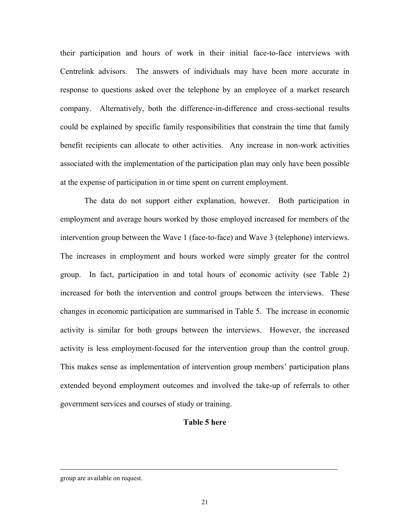their participation and hours of work in their initial face-to-face interviews with Centrelink advisors. The answers of individuals may have been more accurate in response to questions asked over the telephone by an employee of a market research company. Alternatively, both the difference-in-difference and cross-sectional results could be explained by specific family responsibilities that constrain the time that family benefit recipients can allocate to other activities. Any increase in non-work activities associated with the implementation of the participation plan may only have been possible at the expense of participation in or time spent on current employment.

The data do not support either explanation, however. Both participation in employment and average hours worked by those employed increased for members of the intervention group between the Wave 1 (face-to-face) and Wave 3 (telephone) interviews. The increases in employment and hours worked were simply greater for the control group. In fact, participation in and total hours of economic activity (see Table 2) increased for both the intervention and control groups between the interviews. These changes in economic participation are summarised in Table 5. The increase in economic activity is similar for both groups between the interviews. However, the increased activity is less employment-focused for the intervention group than the control group. This makes sense as implementation of intervention group members' participation plans extended beyond employment outcomes and involved the take-up of referrals to other government services and courses of study or training.

#### **Table 5 here**

 $\overline{\phantom{a}}$ 

group are available on request.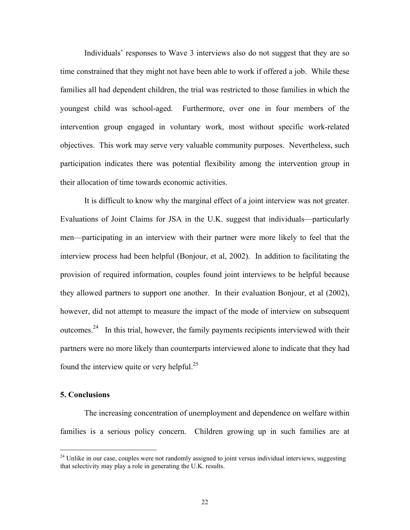Individuals' responses to Wave 3 interviews also do not suggest that they are so time constrained that they might not have been able to work if offered a job. While these families all had dependent children, the trial was restricted to those families in which the youngest child was school-aged. Furthermore, over one in four members of the intervention group engaged in voluntary work, most without specific work-related objectives. This work may serve very valuable community purposes. Nevertheless, such participation indicates there was potential flexibility among the intervention group in their allocation of time towards economic activities.

It is difficult to know why the marginal effect of a joint interview was not greater. Evaluations of Joint Claims for JSA in the U.K. suggest that individuals—particularly men—participating in an interview with their partner were more likely to feel that the interview process had been helpful (Bonjour, et al, 2002). In addition to facilitating the provision of required information, couples found joint interviews to be helpful because they allowed partners to support one another. In their evaluation Bonjour, et al (2002), however, did not attempt to measure the impact of the mode of interview on subsequent outcomes.<sup>24</sup> In this trial, however, the family payments recipients interviewed with their partners were no more likely than counterparts interviewed alone to indicate that they had found the interview quite or very helpful. $^{25}$ 

#### **5. Conclusions**

The increasing concentration of unemployment and dependence on welfare within families is a serious policy concern. Children growing up in such families are at

<span id="page-25-1"></span><span id="page-25-0"></span> $^{24}$  Unlike in our case, couples were not randomly assigned to joint versus individual interviews, suggesting that selectivity may play a role in generating the U.K. results.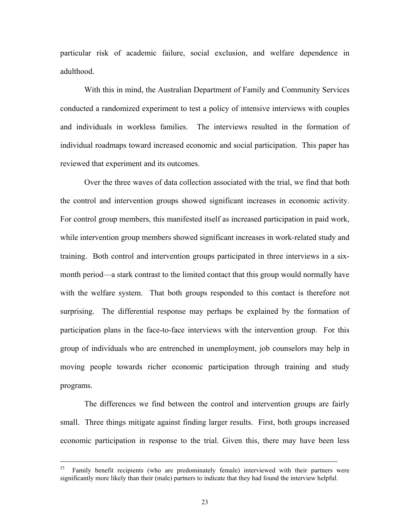particular risk of academic failure, social exclusion, and welfare dependence in adulthood.

With this in mind, the Australian Department of Family and Community Services conducted a randomized experiment to test a policy of intensive interviews with couples and individuals in workless families. The interviews resulted in the formation of individual roadmaps toward increased economic and social participation. This paper has reviewed that experiment and its outcomes.

Over the three waves of data collection associated with the trial, we find that both the control and intervention groups showed significant increases in economic activity. For control group members, this manifested itself as increased participation in paid work, while intervention group members showed significant increases in work-related study and training. Both control and intervention groups participated in three interviews in a sixmonth period—a stark contrast to the limited contact that this group would normally have with the welfare system. That both groups responded to this contact is therefore not surprising. The differential response may perhaps be explained by the formation of participation plans in the face-to-face interviews with the intervention group. For this group of individuals who are entrenched in unemployment, job counselors may help in moving people towards richer economic participation through training and study programs.

The differences we find between the control and intervention groups are fairly small. Three things mitigate against finding larger results. First, both groups increased economic participation in response to the trial. Given this, there may have been less

<sup>&</sup>lt;sup>25</sup> Family benefit recipients (who are predominately female) interviewed with their partners were significantly more likely than their (male) partners to indicate that they had found the interview helpful.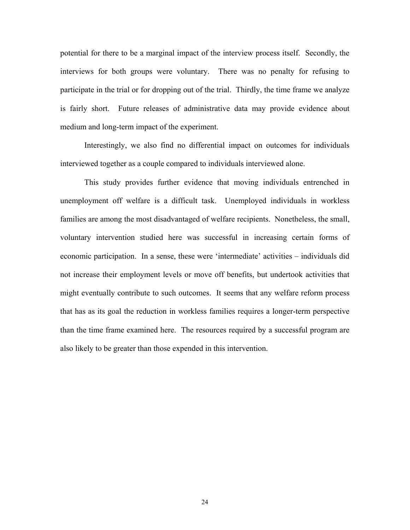potential for there to be a marginal impact of the interview process itself. Secondly, the interviews for both groups were voluntary. There was no penalty for refusing to participate in the trial or for dropping out of the trial. Thirdly, the time frame we analyze is fairly short. Future releases of administrative data may provide evidence about medium and long-term impact of the experiment.

Interestingly, we also find no differential impact on outcomes for individuals interviewed together as a couple compared to individuals interviewed alone.

This study provides further evidence that moving individuals entrenched in unemployment off welfare is a difficult task. Unemployed individuals in workless families are among the most disadvantaged of welfare recipients. Nonetheless, the small, voluntary intervention studied here was successful in increasing certain forms of economic participation. In a sense, these were 'intermediate' activities – individuals did not increase their employment levels or move off benefits, but undertook activities that might eventually contribute to such outcomes. It seems that any welfare reform process that has as its goal the reduction in workless families requires a longer-term perspective than the time frame examined here. The resources required by a successful program are also likely to be greater than those expended in this intervention.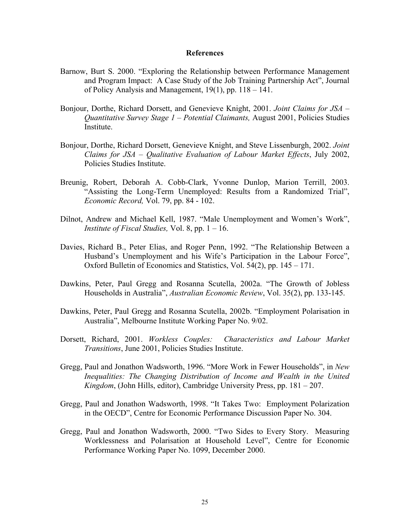#### **References**

- Barnow, Burt S. 2000. "Exploring the Relationship between Performance Management and Program Impact: A Case Study of the Job Training Partnership Act", Journal of Policy Analysis and Management, 19(1), pp. 118 – 141.
- Bonjour, Dorthe, Richard Dorsett, and Genevieve Knight, 2001. *Joint Claims for JSA Quantitative Survey Stage 1 – Potential Claimants,* August 2001, Policies Studies Institute.
- Bonjour, Dorthe, Richard Dorsett, Genevieve Knight, and Steve Lissenburgh, 2002. *Joint Claims for JSA – Qualitative Evaluation of Labour Market Effects*, July 2002, Policies Studies Institute.
- Breunig, Robert, Deborah A. Cobb-Clark, Yvonne Dunlop, Marion Terrill, 2003. "Assisting the Long-Term Unemployed: Results from a Randomized Trial", *Economic Record,* Vol. 79, pp. 84 - 102.
- Dilnot, Andrew and Michael Kell, 1987. "Male Unemployment and Women's Work", *Institute of Fiscal Studies,* Vol. 8, pp. 1 – 16.
- Davies, Richard B., Peter Elias, and Roger Penn, 1992. "The Relationship Between a Husband's Unemployment and his Wife's Participation in the Labour Force", Oxford Bulletin of Economics and Statistics, Vol. 54(2), pp. 145 – 171.
- Dawkins, Peter, Paul Gregg and Rosanna Scutella, 2002a. "The Growth of Jobless Households in Australia", *Australian Economic Review*, Vol. 35(2), pp. 133-145.
- Dawkins, Peter, Paul Gregg and Rosanna Scutella, 2002b. "Employment Polarisation in Australia", Melbourne Institute Working Paper No. 9/02.
- Dorsett, Richard, 2001. *Workless Couples: Characteristics and Labour Market Transitions*, June 2001, Policies Studies Institute.
- Gregg, Paul and Jonathon Wadsworth, 1996. "More Work in Fewer Households", in *New Inequalities: The Changing Distribution of Income and Wealth in the United Kingdom*, (John Hills, editor), Cambridge University Press, pp. 181 – 207.
- Gregg, Paul and Jonathon Wadsworth, 1998. "It Takes Two: Employment Polarization in the OECD", Centre for Economic Performance Discussion Paper No. 304.
- Gregg, Paul and Jonathon Wadsworth, 2000. "Two Sides to Every Story. Measuring Worklessness and Polarisation at Household Level", Centre for Economic Performance Working Paper No. 1099, December 2000.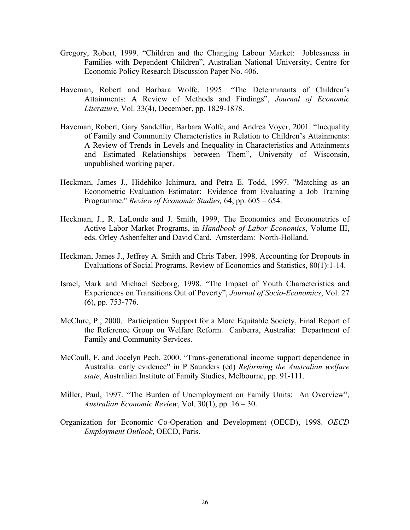- Gregory, Robert, 1999. "Children and the Changing Labour Market: Joblessness in Families with Dependent Children", Australian National University, Centre for Economic Policy Research Discussion Paper No. 406.
- Haveman, Robert and Barbara Wolfe, 1995. "The Determinants of Children's Attainments: A Review of Methods and Findings", *Journal of Economic Literature*, Vol. 33(4), December, pp. 1829-1878.
- Haveman, Robert, Gary Sandelfur, Barbara Wolfe, and Andrea Voyer, 2001. "Inequality of Family and Community Characteristics in Relation to Children's Attainments: A Review of Trends in Levels and Inequality in Characteristics and Attainments and Estimated Relationships between Them", University of Wisconsin, unpublished working paper.
- Heckman, James J., Hidehiko Ichimura, and Petra E. Todd, 1997. "Matching as an Econometric Evaluation Estimator: Evidence from Evaluating a Job Training Programme." *Review of Economic Studies,* 64, pp. 605 – 654.
- Heckman, J., R. LaLonde and J. Smith, 1999, The Economics and Econometrics of Active Labor Market Programs, in *Handbook of Labor Economics*, Volume III, eds. Orley Ashenfelter and David Card. Amsterdam: North-Holland.
- Heckman, James J., Jeffrey A. Smith and Chris Taber, 1998. Accounting for Dropouts in Evaluations of Social Programs. Review of Economics and Statistics, 80(1):1-14.
- Israel, Mark and Michael Seeborg, 1998. "The Impact of Youth Characteristics and Experiences on Transitions Out of Poverty", *Journal of Socio-Economics*, Vol. 27 (6), pp. 753-776.
- McClure, P., 2000. Participation Support for a More Equitable Society, Final Report of the Reference Group on Welfare Reform. Canberra, Australia: Department of Family and Community Services.
- McCoull, F. and Jocelyn Pech, 2000. "Trans-generational income support dependence in Australia: early evidence" in P Saunders (ed) *Reforming the Australian welfare state*, Australian Institute of Family Studies, Melbourne, pp. 91-111.
- Miller, Paul, 1997. "The Burden of Unemployment on Family Units: An Overview", *Australian Economic Review*, Vol. 30(1), pp. 16 – 30.
- Organization for Economic Co-Operation and Development (OECD), 1998. *OECD Employment Outlook*, OECD, Paris.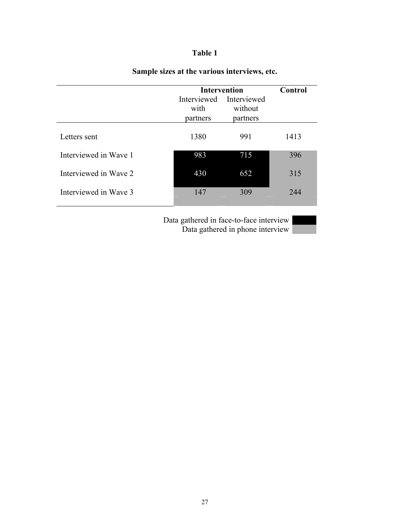## **Table 1**

|                       | <b>Intervention</b> |                         | Control |
|-----------------------|---------------------|-------------------------|---------|
|                       |                     | Interviewed Interviewed |         |
|                       | with                | without                 |         |
|                       | partners            | partners                |         |
| Letters sent          | 1380                | 991                     | 1413    |
| Interviewed in Wave 1 | 983                 | 715                     | 396     |
| Interviewed in Wave 2 | 430                 | 652                     | 315     |
| Interviewed in Wave 3 | 147                 | 309                     | 244     |
|                       |                     |                         |         |

# **Sample sizes at the various interviews, etc.**

Data gathered in face-to-face interview Data gathered in phone interview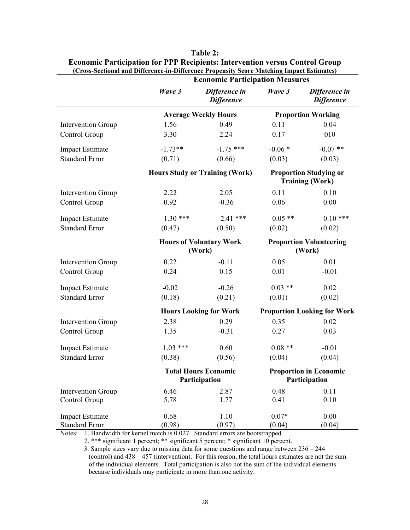|                           |                                              | <b>Economic Participation Measures</b> |                                                |                                                         |  |
|---------------------------|----------------------------------------------|----------------------------------------|------------------------------------------------|---------------------------------------------------------|--|
|                           | Wave 3                                       | Difference in<br><b>Difference</b>     | Wave 3                                         | Difference in<br><b>Difference</b>                      |  |
|                           |                                              | <b>Average Weekly Hours</b>            |                                                | <b>Proportion Working</b>                               |  |
| <b>Intervention Group</b> | 1.56                                         | 0.49                                   | 0.11                                           | 0.04                                                    |  |
| Control Group             | 3.30                                         | 2.24                                   | 0.17                                           | 010                                                     |  |
| <b>Impact Estimate</b>    | $-1.73**$                                    | $-1.75$ ***                            | $-0.06*$                                       | $-0.07**$                                               |  |
| <b>Standard Error</b>     | (0.71)                                       | (0.66)                                 | (0.03)                                         | (0.03)                                                  |  |
|                           |                                              | <b>Hours Study or Training (Work)</b>  |                                                | <b>Proportion Studying or</b><br><b>Training (Work)</b> |  |
| <b>Intervention Group</b> | 2.22                                         | 2.05                                   | 0.11                                           | 0.10                                                    |  |
| Control Group             | 0.92                                         | $-0.36$                                | 0.06                                           | 0.00                                                    |  |
| <b>Impact Estimate</b>    | $1.30***$                                    | $2.41$ ***                             | $0.05**$                                       | $0.10***$                                               |  |
| <b>Standard Error</b>     | (0.47)                                       | (0.50)                                 | (0.02)                                         | (0.02)                                                  |  |
|                           | <b>Hours of Voluntary Work</b><br>(Work)     |                                        | <b>Proportion Volunteering</b><br>(Work)       |                                                         |  |
| <b>Intervention Group</b> | 0.22                                         | $-0.11$                                | 0.05                                           | 0.01                                                    |  |
| Control Group             | 0.24                                         | 0.15                                   | 0.01                                           | $-0.01$                                                 |  |
| <b>Impact Estimate</b>    | $-0.02$                                      | $-0.26$                                | $0.03$ **                                      | 0.02                                                    |  |
| <b>Standard Error</b>     | (0.18)                                       | (0.21)                                 | (0.01)                                         | (0.02)                                                  |  |
|                           |                                              | <b>Hours Looking for Work</b>          | <b>Proportion Looking for Work</b>             |                                                         |  |
| <b>Intervention Group</b> | 2.38                                         | 0.29                                   | 0.35                                           | 0.02                                                    |  |
| Control Group             | 1.35                                         | $-0.31$                                | 0.27                                           | 0.03                                                    |  |
| <b>Impact Estimate</b>    | $1.03$ ***                                   | 0.60                                   | $0.08**$                                       | $-0.01$                                                 |  |
| <b>Standard Error</b>     | (0.38)                                       | (0.56)                                 | (0.04)                                         | (0.04)                                                  |  |
|                           | <b>Total Hours Economic</b><br>Participation |                                        | <b>Proportion in Economic</b><br>Participation |                                                         |  |
| <b>Intervention Group</b> | 6.46                                         | 2.87                                   | 0.48                                           | 0.11                                                    |  |
| Control Group             | 5.78                                         | 1.77                                   | 0.41                                           | 0.10                                                    |  |
| <b>Impact Estimate</b>    | 0.68                                         | 1.10                                   | $0.07*$                                        | 0.00                                                    |  |
| <b>Standard Error</b>     | (0.98)                                       | (0.97)                                 | (0.04)                                         | (0.04)                                                  |  |

**Table 2: Economic Participation for PPP Recipients: Intervention versus Control Group (Cross-Sectional and Difference-in-Difference Propensity Score Matching Impact Estimates)** 

Notes: 1. Bandwidth for kernel match is 0.027. Standard errors are bootstrapped.

2. \*\*\* significant 1 percent; \*\* significant 5 percent; \* significant 10 percent.

3. Sample sizes vary due to missing data for some questions and range between 236 – 244 (control) and 438 – 457 (intervention). For this reason, the total hours estimates are not the sum of the individual elements. Total participation is also not the sum of the individual elements because individuals may participate in more than one activity.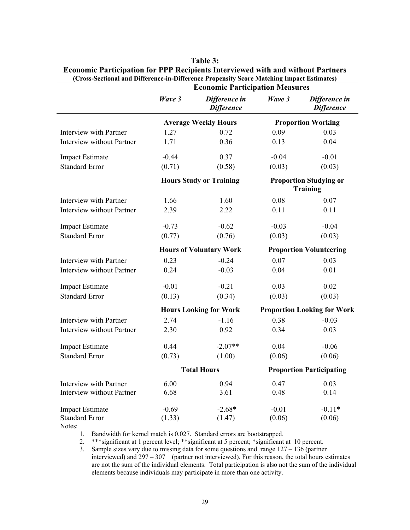|                                  | Wave 3                         | Difference in<br><b>Difference</b> | Wave 3                                           | Difference in<br><b>Difference</b> |
|----------------------------------|--------------------------------|------------------------------------|--------------------------------------------------|------------------------------------|
|                                  |                                | <b>Average Weekly Hours</b>        |                                                  | <b>Proportion Working</b>          |
| Interview with Partner           | 1.27                           | 0.72                               | 0.09                                             | 0.03                               |
| <b>Interview without Partner</b> | 1.71                           | 0.36                               | 0.13                                             | 0.04                               |
| <b>Impact Estimate</b>           | $-0.44$                        | 0.37                               | $-0.04$                                          | $-0.01$                            |
| <b>Standard Error</b>            | (0.71)                         | (0.58)                             | (0.03)                                           | (0.03)                             |
|                                  | <b>Hours Study or Training</b> |                                    | <b>Proportion Studying or</b><br><b>Training</b> |                                    |
| Interview with Partner           | 1.66                           | 1.60                               | 0.08                                             | 0.07                               |
| <b>Interview without Partner</b> | 2.39                           | 2.22                               | 0.11                                             | 0.11                               |
| <b>Impact Estimate</b>           | $-0.73$                        | $-0.62$                            | $-0.03$                                          | $-0.04$                            |
| <b>Standard Error</b>            | (0.77)                         | (0.76)                             | (0.03)                                           | (0.03)                             |
|                                  |                                | <b>Hours of Voluntary Work</b>     |                                                  | <b>Proportion Volunteering</b>     |
| Interview with Partner           | 0.23                           | $-0.24$                            | 0.07                                             | 0.03                               |
| <b>Interview without Partner</b> | 0.24                           | $-0.03$                            | 0.04                                             | 0.01                               |
| <b>Impact Estimate</b>           | $-0.01$                        | $-0.21$                            | 0.03                                             | 0.02                               |
| <b>Standard Error</b>            | (0.13)                         | (0.34)                             | (0.03)                                           | (0.03)                             |
|                                  |                                | <b>Hours Looking for Work</b>      | <b>Proportion Looking for Work</b>               |                                    |
| Interview with Partner           | 2.74                           | $-1.16$                            | 0.38                                             | $-0.03$                            |
| <b>Interview without Partner</b> | 2.30                           | 0.92                               | 0.34                                             | 0.03                               |
| <b>Impact Estimate</b>           | 0.44                           | $-2.07**$                          | 0.04                                             | $-0.06$                            |
| <b>Standard Error</b>            | (0.73)                         | (1.00)                             | (0.06)                                           | (0.06)                             |
|                                  | <b>Total Hours</b>             |                                    | <b>Proportion Participating</b>                  |                                    |
| Interview with Partner           | 6.00                           | 0.94                               | 0.47                                             | 0.03                               |
| Interview without Partner        | 6.68                           | 3.61                               | 0.48                                             | 0.14                               |
| <b>Impact Estimate</b>           | $-0.69$                        | $-2.68*$                           | $-0.01$                                          | $-0.11*$                           |
| <b>Standard Error</b>            | (1.33)                         | (1.47)                             | (0.06)                                           | (0.06)                             |

#### **Table 3: Economic Participation for PPP Recipients Interviewed with and without Partners (Cross-Sectional and Difference-in-Difference Propensity Score Matching Impact Estimates) Economic Participation Measures**

Notes:

1. Bandwidth for kernel match is 0.027. Standard errors are bootstrapped.

2. \*\*\*significant at 1 percent level; \*\*significant at 5 percent; \*significant at 10 percent.

3. Sample sizes vary due to missing data for some questions and range 127 – 136 (partner interviewed) and 297 – 307 (partner not interviewed). For this reason, the total hours estimates are not the sum of the individual elements. Total participation is also not the sum of the individual elements because individuals may participate in more than one activity.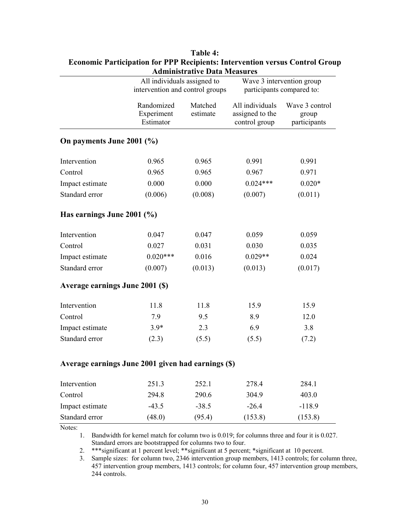| <b>Administrative Data Measures</b>                |            |                                 |                 |                           |  |  |
|----------------------------------------------------|------------|---------------------------------|-----------------|---------------------------|--|--|
|                                                    |            | All individuals assigned to     |                 | Wave 3 intervention group |  |  |
|                                                    |            | intervention and control groups |                 | participants compared to: |  |  |
|                                                    | Randomized | Matched                         | All individuals | Wave 3 control            |  |  |
|                                                    | Experiment | estimate                        | assigned to the | group                     |  |  |
|                                                    | Estimator  |                                 | control group   | participants              |  |  |
| On payments June 2001 (%)                          |            |                                 |                 |                           |  |  |
| Intervention                                       | 0.965      | 0.965                           | 0.991           | 0.991                     |  |  |
| Control                                            | 0.965      | 0.965                           | 0.967           | 0.971                     |  |  |
| Impact estimate                                    | 0.000      | 0.000                           | $0.024***$      | $0.020*$                  |  |  |
| Standard error                                     | (0.006)    | (0.008)                         | (0.007)         | (0.011)                   |  |  |
| Has earnings June 2001 $(\% )$                     |            |                                 |                 |                           |  |  |
| Intervention                                       | 0.047      | 0.047                           | 0.059           | 0.059                     |  |  |
| Control                                            | 0.027      | 0.031                           | 0.030           | 0.035                     |  |  |
| Impact estimate                                    | $0.020***$ | 0.016                           | $0.029**$       | 0.024                     |  |  |
| Standard error                                     | (0.007)    | (0.013)                         | (0.013)         | (0.017)                   |  |  |
| Average earnings June 2001 (\$)                    |            |                                 |                 |                           |  |  |
| Intervention                                       | 11.8       | 11.8                            | 15.9            | 15.9                      |  |  |
| Control                                            | 7.9        | 9.5                             | 8.9             | 12.0                      |  |  |
| Impact estimate                                    | $3.9*$     | 2.3                             | 6.9             | 3.8                       |  |  |
| Standard error                                     | (2.3)      | (5.5)                           | (5.5)           | (7.2)                     |  |  |
| Average earnings June 2001 given had earnings (\$) |            |                                 |                 |                           |  |  |
| Intervention                                       | 251.3      | 252.1                           | 278.4           | 284.1                     |  |  |
| Control                                            | 294.8      | 290.6                           | 304.9           | 403.0                     |  |  |
| Impact estimate                                    | $-43.5$    | $-38.5$                         | $-26.4$         | $-118.9$                  |  |  |
| Standard error                                     | (48.0)     | (95.4)                          | (153.8)         | (153.8)                   |  |  |

| Table 4:                                                                            |  |  |
|-------------------------------------------------------------------------------------|--|--|
| <b>Economic Participation for PPP Recipients: Intervention versus Control Group</b> |  |  |
| <b>Administrative Data Measures</b>                                                 |  |  |

Notes:

1. Bandwidth for kernel match for column two is 0.019; for columns three and four it is 0.027. Standard errors are bootstrapped for columns two to four.

2. \*\*\*significant at 1 percent level; \*\*significant at 5 percent; \*significant at 10 percent.

3. Sample sizes: for column two, 2346 intervention group members, 1413 controls; for column three, 457 intervention group members, 1413 controls; for column four, 457 intervention group members, 244 controls.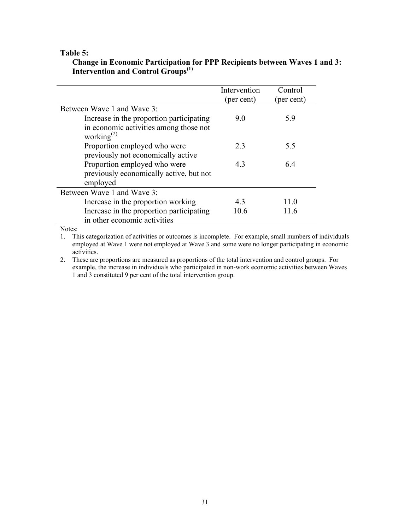#### **Table 5:**

|                                                            | Intervention | Control    |
|------------------------------------------------------------|--------------|------------|
|                                                            | (per cent)   | (per cent) |
| Between Wave 1 and Wave 3:                                 |              |            |
| Increase in the proportion participating                   | 9.0          | 5.9        |
| in economic activities among those not<br>working $^{(2)}$ |              |            |
| Proportion employed who were                               | 2.3          | 5.5        |
| previously not economically active                         |              |            |
| Proportion employed who were                               | 4.3          | 6.4        |
| previously economically active, but not                    |              |            |
| employed                                                   |              |            |
| Between Wave 1 and Wave 3:                                 |              |            |
| Increase in the proportion working                         | 43           | 110        |
| Increase in the proportion participating                   | 10.6         | 11.6       |
| in other economic activities                               |              |            |

#### **Change in Economic Participation for PPP Recipients between Waves 1 and 3: Intervention and Control Groups(1)**

Notes:

1. This categorization of activities or outcomes is incomplete. For example, small numbers of individuals employed at Wave 1 were not employed at Wave 3 and some were no longer participating in economic activities.

2. These are proportions are measured as proportions of the total intervention and control groups. For example, the increase in individuals who participated in non-work economic activities between Waves 1 and 3 constituted 9 per cent of the total intervention group.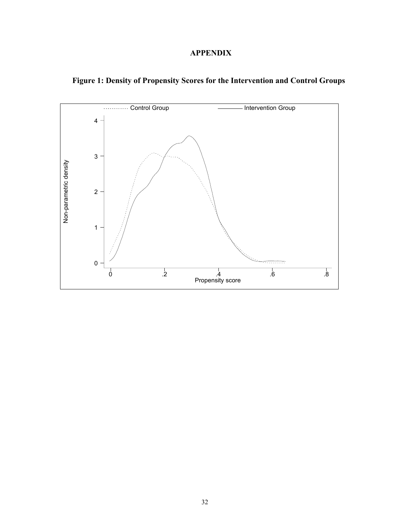## **APPENDIX**



**Figure 1: Density of Propensity Scores for the Intervention and Control Groups**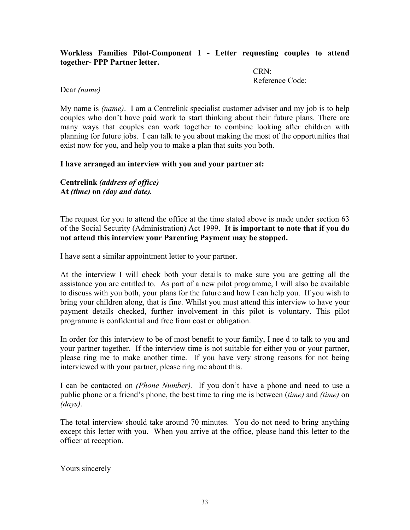#### **Workless Families Pilot-Component 1 - Letter requesting couples to attend together- PPP Partner letter.**

CRN: Reference Code:

#### Dear *(name)*

My name is *(name)*. I am a Centrelink specialist customer adviser and my job is to help couples who don't have paid work to start thinking about their future plans. There are many ways that couples can work together to combine looking after children with planning for future jobs. I can talk to you about making the most of the opportunities that exist now for you, and help you to make a plan that suits you both.

#### **I have arranged an interview with you and your partner at:**

**Centrelink** *(address of office)* **At** *(time)* **on** *(day and date).* 

The request for you to attend the office at the time stated above is made under section 63 of the Social Security (Administration) Act 1999. **It is important to note that if you do not attend this interview your Parenting Payment may be stopped.** 

I have sent a similar appointment letter to your partner.

At the interview I will check both your details to make sure you are getting all the assistance you are entitled to. As part of a new pilot programme, I will also be available to discuss with you both, your plans for the future and how I can help you. If you wish to bring your children along, that is fine. Whilst you must attend this interview to have your payment details checked, further involvement in this pilot is voluntary. This pilot programme is confidential and free from cost or obligation.

In order for this interview to be of most benefit to your family, I nee d to talk to you and your partner together. If the interview time is not suitable for either you or your partner, please ring me to make another time. If you have very strong reasons for not being interviewed with your partner, please ring me about this.

I can be contacted on *(Phone Number).* If you don't have a phone and need to use a public phone or a friend's phone, the best time to ring me is between (*time)* and *(time)* on *(days)*.

The total interview should take around 70 minutes. You do not need to bring anything except this letter with you. When you arrive at the office, please hand this letter to the officer at reception.

Yours sincerely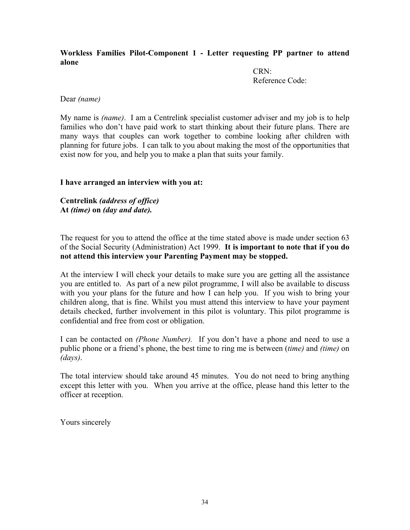#### **Workless Families Pilot-Component 1 - Letter requesting PP partner to attend alone**

CRN: Reference Code:

#### Dear *(name)*

My name is *(name)*. I am a Centrelink specialist customer adviser and my job is to help families who don't have paid work to start thinking about their future plans. There are many ways that couples can work together to combine looking after children with planning for future jobs. I can talk to you about making the most of the opportunities that exist now for you, and help you to make a plan that suits your family.

#### **I have arranged an interview with you at:**

**Centrelink** *(address of office)* **At** *(time)* **on** *(day and date).* 

The request for you to attend the office at the time stated above is made under section 63 of the Social Security (Administration) Act 1999. **It is important to note that if you do not attend this interview your Parenting Payment may be stopped.** 

At the interview I will check your details to make sure you are getting all the assistance you are entitled to. As part of a new pilot programme, I will also be available to discuss with you your plans for the future and how I can help you. If you wish to bring your children along, that is fine. Whilst you must attend this interview to have your payment details checked, further involvement in this pilot is voluntary. This pilot programme is confidential and free from cost or obligation.

I can be contacted on *(Phone Number).* If you don't have a phone and need to use a public phone or a friend's phone, the best time to ring me is between (*time)* and *(time)* on *(days)*.

The total interview should take around 45 minutes. You do not need to bring anything except this letter with you. When you arrive at the office, please hand this letter to the officer at reception.

Yours sincerely